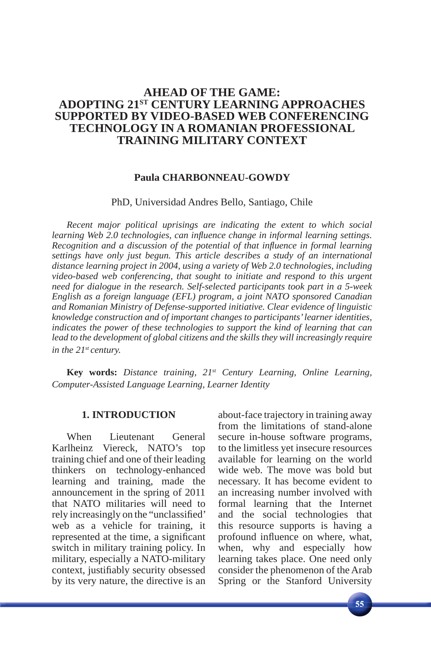# **AHEAD OF THE GAME: ADOPTING 21ST CENTURY LEARNING APPROACHES SUPPORTED BY VIDEO-BASED WEB CONFERENCING TECHNOLOGY IN A ROMANIAN PROFESSIONAL TRAINING MILITARY CONTEXT**

## **Paula CHARBONNEAU-GOWDY**

PhD, Universidad Andres Bello, Santiago, Chile

*Recent major political uprisings are indicating the extent to which social learning Web 2.0 technologies, can influence change in informal learning settings. Recognition and a discussion of the potential of that influence in formal learning settings have only just begun. This article describes a study of an international distance learning project in 2004, using a variety of Web 2.0 technologies, including video-based web conferencing, that sought to initiate and respond to this urgent need for dialogue in the research. Self-selected participants took part in a 5-week English as a foreign language (EFL) program, a joint NATO sponsored Canadian and Romanian Ministry of Defense-supported initiative. Clear evidence of linguistic knowledge construction and of important changes to participants' learner identities, indicates the power of these technologies to support the kind of learning that can*  lead to the development of global citizens and the skills they will increasingly require *in the 21st century.*

**Key words:** *Distance training, 21st Century Learning, Online Learning, Computer-Assisted Language Learning, Learner Identity* 

## **1. INTRODUCTION**

When Lieutenant General Karlheinz Viereck, NATO's top training chief and one of their leading thinkers on technology-enhanced learning and training, made the announcement in the spring of 2011 that NATO militaries will need to rely increasingly on the "unclassified" web as a vehicle for training, it represented at the time, a significant switch in military training policy. In military, especially a NATO-military context, justifiably security obsessed by its very nature, the directive is an

about-face trajectory in training away from the limitations of stand-alone secure in-house software programs, to the limitless yet insecure resources available for learning on the world wide web. The move was bold but necessary. It has become evident to an increasing number involved with formal learning that the Internet and the social technologies that this resource supports is having a profound influence on where, what, when, why and especially how learning takes place. One need only consider the phenomenon of the Arab Spring or the Stanford University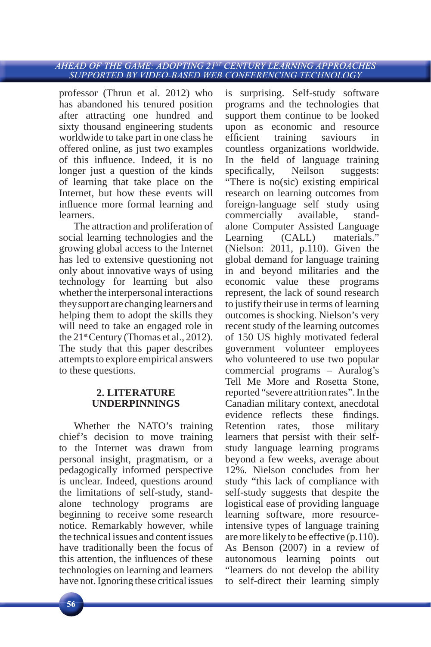professor (Thrun et al. 2012) who has abandoned his tenured position after attracting one hundred and sixty thousand engineering students worldwide to take part in one class he offered online, as just two examples of this influence. Indeed, it is no longer just a question of the kinds of learning that take place on the Internet, but how these events will influence more formal learning and learners.

The attraction and proliferation of social learning technologies and the growing global access to the Internet has led to extensive questioning not only about innovative ways of using technology for learning but also whether the interpersonal interactions they support are changing learners and helping them to adopt the skills they will need to take an engaged role in the  $21<sup>st</sup>Century$  (Thomas et al., 2012). The study that this paper describes attempts to explore empirical answers to these questions.

# **2. LITERATURE UNDERPINNINGS**

Whether the NATO's training chief's decision to move training to the Internet was drawn from personal insight, pragmatism, or a pedagogically informed perspective is unclear. Indeed, questions around the limitations of self-study, standalone technology programs are beginning to receive some research notice. Remarkably however, while the technical issues and content issues have traditionally been the focus of this attention, the influences of these technologies on learning and learners have not. Ignoring these critical issues

is surprising. Self-study software programs and the technologies that support them continue to be looked upon as economic and resource efficient training saviours in countless organizations worldwide. In the field of language training specifically, Neilson suggests: "There is no(sic) existing empirical research on learning outcomes from foreign-language self study using commercially available, standalone Computer Assisted Language Learning (CALL) materials." (Nielson: 2011, p.110). Given the global demand for language training in and beyond militaries and the economic value these programs represent, the lack of sound research to justify their use in terms of learning outcomes is shocking. Nielson's very recent study of the learning outcomes of 150 US highly motivated federal government volunteer employees who volunteered to use two popular commercial programs – Auralog's Tell Me More and Rosetta Stone, reported "severe attrition rates". In the Canadian military context, anecdotal evidence reflects these findings. Retention rates, those military learners that persist with their selfstudy language learning programs beyond a few weeks, average about 12%. Nielson concludes from her study "this lack of compliance with self-study suggests that despite the logistical ease of providing language learning software, more resourceintensive types of language training are more likely to be effective (p.110). As Benson (2007) in a review of autonomous learning points out "learners do not develop the ability to self-direct their learning simply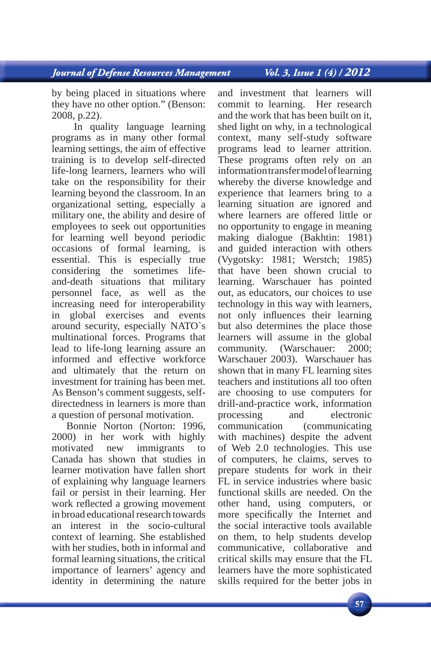Vol. 3, Issue 1 (4) / 2012

by being placed in situations where they have no other option." (Benson: 2008, p.22).

 In quality language learning programs as in many other formal learning settings, the aim of effective training is to develop self-directed life-long learners, learners who will take on the responsibility for their learning beyond the classroom. In an organizational setting, especially a military one, the ability and desire of employees to seek out opportunities for learning well beyond periodic occasions of formal learning, is essential. This is especially true considering the sometimes lifeand-death situations that military personnel face, as well as the increasing need for interoperability in global exercises and events around security, especially NATO`s multinational forces. Programs that lead to life-long learning assure an informed and effective workforce and ultimately that the return on investment for training has been met. As Benson's comment suggests, selfdirectedness in learners is more than a question of personal motivation.

Bonnie Norton (Norton: 1996, 2000) in her work with highly motivated new immigrants to Canada has shown that studies in learner motivation have fallen short of explaining why language learners fail or persist in their learning. Her work reflected a growing movement in broad educational research towards an interest in the socio-cultural context of learning. She established with her studies, both in informal and formal learning situations, the critical importance of learners' agency and identity in determining the nature

and investment that learners will<br>commit to learning. Her research commit to learning. and the work that has been built on it, shed light on why, in a technological context, many self-study software programs lead to learner attrition. These programs often rely on an information transfer model of learning whereby the diverse knowledge and experience that learners bring to a learning situation are ignored and where learners are offered little or no opportunity to engage in meaning making dialogue (Bakhtin: 1981) and guided interaction with others (Vygotsky: 1981; Werstch; 1985) that have been shown crucial to learning. Warschauer has pointed out, as educators, our choices to use technology in this way with learners, not only influences their learning but also determines the place those learners will assume in the global community. (Warschauer: 2000; Warschauer 2003). Warschauer has shown that in many FL learning sites teachers and institutions all too often are choosing to use computers for drill-and-practice work, information processing and electronic communication (communicating with machines) despite the advent of Web 2.0 technologies. This use of computers, he claims, serves to prepare students for work in their FL in service industries where basic functional skills are needed. On the other hand, using computers, or more specifically the Internet and the social interactive tools available on them, to help students develop communicative, collaborative and critical skills may ensure that the FL learners have the more sophisticated skills required for the better jobs in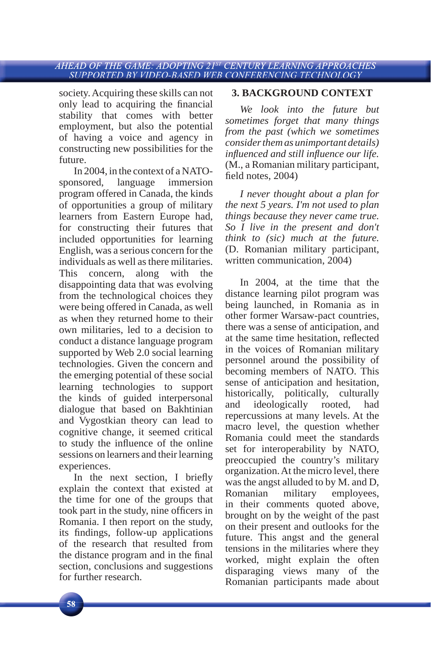society. Acquiring these skills can not only lead to acquiring the financial stability that comes with better employment, but also the potential of having a voice and agency in constructing new possibilities for the future.

In 2004, in the context of a NATOsponsored, language immersion program offered in Canada, the kinds of opportunities a group of military learners from Eastern Europe had, for constructing their futures that included opportunities for learning English, was a serious concern for the individuals as well as there militaries. This concern, along with the disappointing data that was evolving from the technological choices they were being offered in Canada, as well as when they returned home to their own militaries, led to a decision to conduct a distance language program supported by Web 2.0 social learning technologies. Given the concern and the emerging potential of these social learning technologies to support the kinds of guided interpersonal dialogue that based on Bakhtinian and Vygostkian theory can lead to cognitive change, it seemed critical to study the influence of the online sessions on learners and their learning experiences.

In the next section, I briefly explain the context that existed at the time for one of the groups that took part in the study, nine officers in Romania. I then report on the study, its findings, follow-up applications of the research that resulted from the distance program and in the final section, conclusions and suggestions for further research.

# **3. BACKGROUND CONTEXT**

*We look into the future but sometimes forget that many things from the past (which we sometimes consider them as unimportant details) infl uenced and still infl uence our life.*  (M., a Romanian military participant, field notes, 2004)

*I never thought about a plan for the next 5 years. I'm not used to plan things because they never came true. So I live in the present and don't think to (sic) much at the future.*  (D. Romanian military participant, written communication, 2004)

In 2004, at the time that the distance learning pilot program was being launched, in Romania as in other former Warsaw-pact countries, there was a sense of anticipation, and at the same time hesitation, reflected in the voices of Romanian military personnel around the possibility of becoming members of NATO. This sense of anticipation and hesitation, historically, politically, culturally and ideologically rooted, had repercussions at many levels. At the macro level, the question whether Romania could meet the standards set for interoperability by NATO, preoccupied the country's military organization. At the micro level, there was the angst alluded to by M. and D, Romanian military employees, in their comments quoted above, brought on by the weight of the past on their present and outlooks for the future. This angst and the general tensions in the militaries where they worked, might explain the often disparaging views many of the Romanian participants made about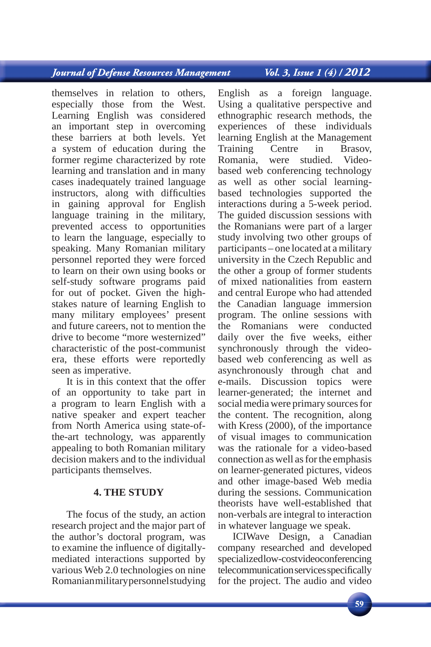# **Journal of Defense Resources Management**

themselves in relation to others, especially those from the West. Learning English was considered an important step in overcoming these barriers at both levels. Yet a system of education during the former regime characterized by rote learning and translation and in many cases inadequately trained language instructors, along with difficulties in gaining approval for English language training in the military, prevented access to opportunities to learn the language, especially to speaking. Many Romanian military personnel reported they were forced to learn on their own using books or self-study software programs paid for out of pocket. Given the highstakes nature of learning English to many military employees' present and future careers, not to mention the drive to become "more westernized" characteristic of the post-communist era, these efforts were reportedly seen as imperative.

It is in this context that the offer of an opportunity to take part in a program to learn English with a native speaker and expert teacher from North America using state-ofthe-art technology, was apparently appealing to both Romanian military decision makers and to the individual participants themselves.

## **4. THE STUDY**

The focus of the study, an action research project and the major part of the author's doctoral program, was to examine the influence of digitallymediated interactions supported by various Web 2.0 technologies on nine Romanian military personnel studying Vol. 3, Issue 1 (4) / 2012

English as a foreign language. Using a qualitative perspective and ethnographic research methods, the experiences of these individuals learning English at the Management Training Centre in Brasov, Romania, were studied. Videobased web conferencing technology as well as other social learningbased technologies supported the interactions during a 5-week period. The guided discussion sessions with the Romanians were part of a larger study involving two other groups of participants – one located at a military university in the Czech Republic and the other a group of former students of mixed nationalities from eastern and central Europe who had attended the Canadian language immersion program. The online sessions with the Romanians were conducted daily over the five weeks, either synchronously through the videobased web conferencing as well as asynchronously through chat and e-mails. Discussion topics were learner-generated; the internet and social media were primary sources for the content. The recognition, along with Kress (2000), of the importance of visual images to communication was the rationale for a video-based connection as well as for the emphasis on learner-generated pictures, videos and other image-based Web media during the sessions. Communication theorists have well-established that non-verbals are integral to interaction in whatever language we speak.

ICIWave Design, a Canadian company researched and developed specialized low-cost videoconferencing telecommunication services specifically for the project. The audio and video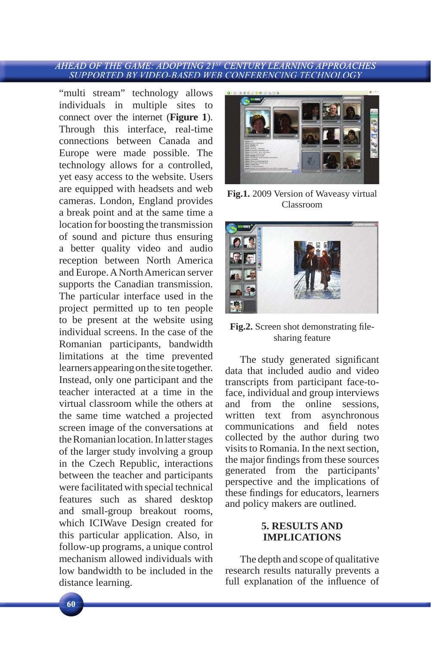"multi stream" technology allows individuals in multiple sites to connect over the internet (**Figure 1**). Through this interface, real-time connections between Canada and Europe were made possible. The technology allows for a controlled, yet easy access to the website. Users are equipped with headsets and web cameras. London, England provides a break point and at the same time a location for boosting the transmission of sound and picture thus ensuring a better quality video and audio reception between North America and Europe. A North American server supports the Canadian transmission. The particular interface used in the project permitted up to ten people to be present at the website using individual screens. In the case of the Romanian participants, bandwidth limitations at the time prevented learners appearing on the site together. Instead, only one participant and the teacher interacted at a time in the virtual classroom while the others at the same time watched a projected screen image of the conversations at the Romanian location. In latter stages of the larger study involving a group in the Czech Republic, interactions between the teacher and participants were facilitated with special technical features such as shared desktop and small-group breakout rooms, which ICIWave Design created for this particular application. Also, in follow-up programs, a unique control mechanism allowed individuals with low bandwidth to be included in the distance learning.



**Fig.1.** 2009 Version of Waveasy virtual Classroom



Fig.2. Screen shot demonstrating filesharing feature

The study generated significant data that included audio and video transcripts from participant face-toface, individual and group interviews and from the online sessions, written text from asynchronous communications and field notes collected by the author during two visits to Romania. In the next section, the major findings from these sources generated from the participants' perspective and the implications of these findings for educators, learners and policy makers are outlined.

## **5. RESULTS AND IMPLICATIONS**

The depth and scope of qualitative research results naturally prevents a full explanation of the influence of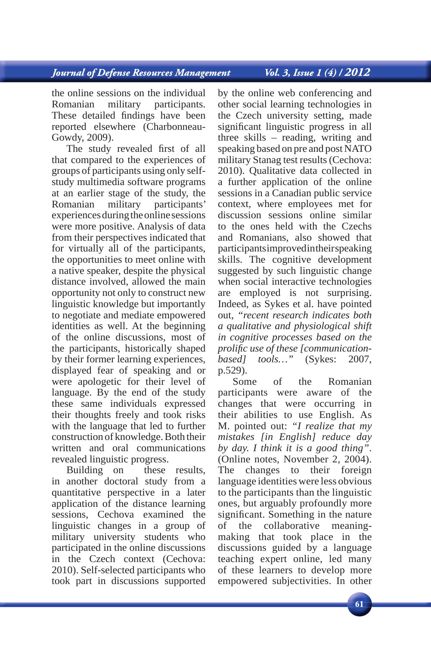Vol. 3, Issue 1 (4) / 2012

the online sessions on the individual Romanian military participants. These detailed findings have been reported elsewhere (Charbonneau-Gowdy, 2009).

The study revealed first of all that compared to the experiences of groups of participants using only selfstudy multimedia software programs at an earlier stage of the study, the Romanian military participants' experiences during the online sessions were more positive. Analysis of data from their perspectives indicated that for virtually all of the participants, the opportunities to meet online with a native speaker, despite the physical distance involved, allowed the main opportunity not only to construct new linguistic knowledge but importantly to negotiate and mediate empowered identities as well. At the beginning of the online discussions, most of the participants, historically shaped by their former learning experiences, displayed fear of speaking and or were apologetic for their level of language. By the end of the study these same individuals expressed their thoughts freely and took risks with the language that led to further construction of knowledge. Both their written and oral communications revealed linguistic progress.

Building on these results, in another doctoral study from a quantitative perspective in a later application of the distance learning sessions, Cechova examined the linguistic changes in a group of military university students who participated in the online discussions in the Czech context (Cechova: 2010). Self-selected participants who took part in discussions supported

by the online web conferencing and other social learning technologies in the Czech university setting, made significant linguistic progress in all three skills – reading, writing and speaking based on pre and post NATO military Stanag test results (Cechova: 2010). Qualitative data collected in a further application of the online sessions in a Canadian public service context, where employees met for discussion sessions online similar to the ones held with the Czechs and Romanians, also showed that participants improved in their speaking skills. The cognitive development suggested by such linguistic change when social interactive technologies are employed is not surprising. Indeed, as Sykes et al. have pointed out, *"recent research indicates both a qualitative and physiological shift in cognitive processes based on the prolifi c use of these [communicationbased] tools…"* (Sykes: 2007, p.529).

Some of the Romanian participants were aware of the changes that were occurring in their abilities to use English. As M. pointed out: *"I realize that my mistakes [in English] reduce day by day. I think it is a good thing"*. (Online notes, November 2, 2004). The changes to their foreign language identities were less obvious to the participants than the linguistic ones, but arguably profoundly more significant. Something in the nature of the collaborative meaningmaking that took place in the discussions guided by a language teaching expert online, led many of these learners to develop more empowered subjectivities. In other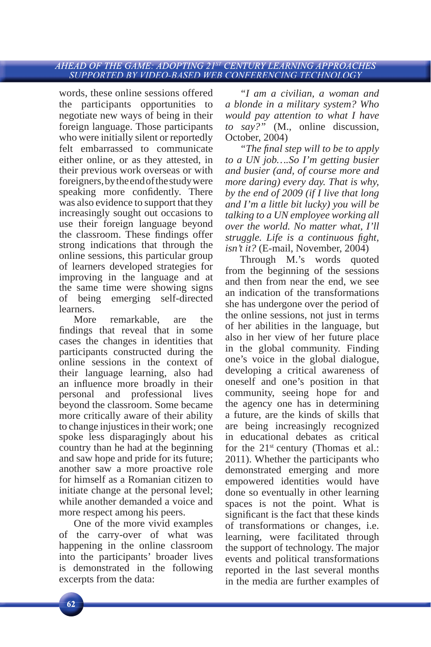words, these online sessions offered the participants opportunities to negotiate new ways of being in their foreign language. Those participants who were initially silent or reportedly felt embarrassed to communicate either online, or as they attested, in their previous work overseas or with foreigners, by the end of the study were speaking more confidently. There was also evidence to support that they increasingly sought out occasions to use their foreign language beyond the classroom. These findings offer strong indications that through the online sessions, this particular group of learners developed strategies for improving in the language and at the same time were showing signs of being emerging self-directed learners.

More remarkable, are the findings that reveal that in some cases the changes in identities that participants constructed during the online sessions in the context of their language learning, also had an influence more broadly in their personal and professional lives beyond the classroom. Some became more critically aware of their ability to change injustices in their work; one spoke less disparagingly about his country than he had at the beginning and saw hope and pride for its future; another saw a more proactive role for himself as a Romanian citizen to initiate change at the personal level; while another demanded a voice and more respect among his peers.

One of the more vivid examples of the carry-over of what was happening in the online classroom into the participants' broader lives is demonstrated in the following excerpts from the data:

*"I am a civilian, a woman and a blonde in a military system? Who would pay attention to what I have to say?"* (M., online discussion, October, 2004)

*"The final step will to be to apply to a UN job….So I'm getting busier and busier (and, of course more and more daring) every day. That is why, by the end of 2009 (if I live that long and I'm a little bit lucky) you will be talking to a UN employee working all over the world. No matter what, I'll struggle. Life is a continuous fight, isn't it?* (E-mail, November, 2004)

Through M.'s words quoted from the beginning of the sessions and then from near the end, we see an indication of the transformations she has undergone over the period of the online sessions, not just in terms of her abilities in the language, but also in her view of her future place in the global community. Finding one's voice in the global dialogue, developing a critical awareness of oneself and one's position in that community, seeing hope for and the agency one has in determining a future, are the kinds of skills that are being increasingly recognized in educational debates as critical for the  $21<sup>st</sup>$  century (Thomas et al.: 2011). Whether the participants who demonstrated emerging and more empowered identities would have done so eventually in other learning spaces is not the point. What is significant is the fact that these kinds of transformations or changes, i.e. learning, were facilitated through the support of technology. The major events and political transformations reported in the last several months in the media are further examples of

 $62$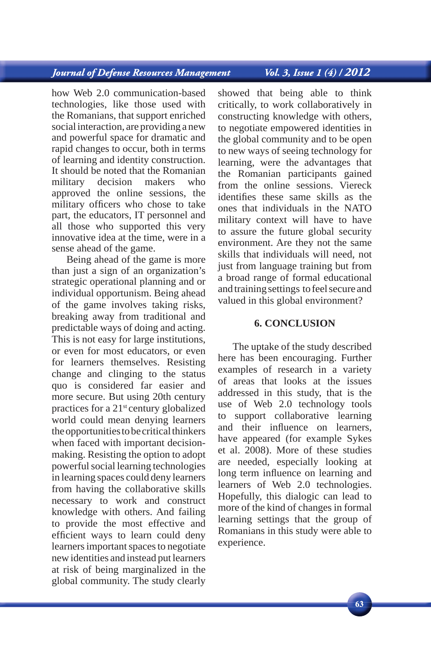Vol. 3, Issue 1 (4) / 2012

how Web 2.0 communication-based technologies, like those used with the Romanians, that support enriched social interaction, are providing a new and powerful space for dramatic and rapid changes to occur, both in terms of learning and identity construction. It should be noted that the Romanian military decision makers who approved the online sessions, the military officers who chose to take part, the educators, IT personnel and all those who supported this very innovative idea at the time, were in a sense ahead of the game.

Being ahead of the game is more than just a sign of an organization's strategic operational planning and or individual opportunism. Being ahead of the game involves taking risks, breaking away from traditional and predictable ways of doing and acting. This is not easy for large institutions, or even for most educators, or even for learners themselves. Resisting change and clinging to the status quo is considered far easier and more secure. But using 20th century practices for a 21st century globalized world could mean denying learners the opportunities to be critical thinkers when faced with important decisionmaking. Resisting the option to adopt powerful social learning technologies in learning spaces could deny learners from having the collaborative skills necessary to work and construct knowledge with others. And failing to provide the most effective and efficient ways to learn could deny learners important spaces to negotiate new identities and instead put learners at risk of being marginalized in the global community. The study clearly

showed that being able to think critically, to work collaboratively in constructing knowledge with others, to negotiate empowered identities in the global community and to be open to new ways of seeing technology for learning, were the advantages that the Romanian participants gained from the online sessions. Viereck identifies these same skills as the ones that individuals in the NATO military context will have to have to assure the future global security environment. Are they not the same skills that individuals will need, not just from language training but from a broad range of formal educational and training settings to feel secure and valued in this global environment?

## **6. CONCLUSION**

The uptake of the study described here has been encouraging. Further examples of research in a variety of areas that looks at the issues addressed in this study, that is the use of Web 2.0 technology tools to support collaborative learning and their influence on learners, have appeared (for example Sykes et al. 2008). More of these studies are needed, especially looking at long term influence on learning and learners of Web 2.0 technologies. Hopefully, this dialogic can lead to more of the kind of changes in formal learning settings that the group of Romanians in this study were able to experience.